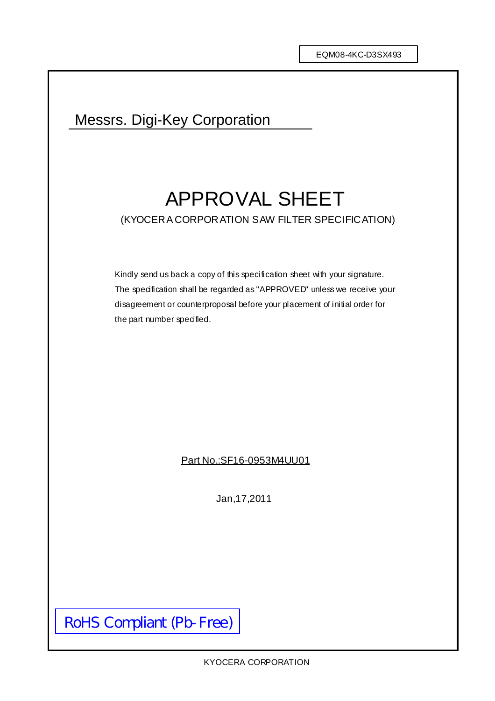# Messrs. Digi-Key Corporation

# APPROVAL SHEET (KYOCERA CORPORATION SAW FILTER SPECIFICATION)

Kindly send us back a copy of this specification sheet with your signature. The specification shall be regarded as "APPROVED" unless we receive your disagreement or counterproposal before your placement of initial order for the part number specified.

Part No.:SF16-0953M4UU01

Jan,17,2011

RoHS Compliant (Pb-Free)

KYOCERA CORPORATION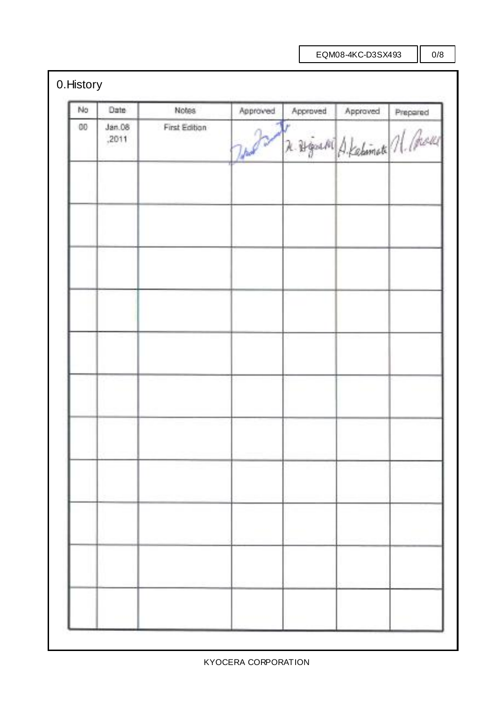# 0.History

| No. | Date            | <b>Notes</b>  | Approved | Approved                        | Approved | Prepared |
|-----|-----------------|---------------|----------|---------------------------------|----------|----------|
| 00  | Jan.08<br>,2011 | First Edition | Today    | R. Brigard A. Kelimate n. Chaus |          |          |
|     |                 |               |          |                                 |          |          |
|     |                 |               |          |                                 |          |          |
|     |                 |               |          |                                 |          |          |
|     |                 |               |          |                                 |          |          |
|     |                 |               |          |                                 |          |          |
|     |                 |               |          |                                 |          |          |
|     |                 |               |          |                                 |          |          |
|     |                 |               |          |                                 |          |          |
|     |                 |               |          |                                 |          |          |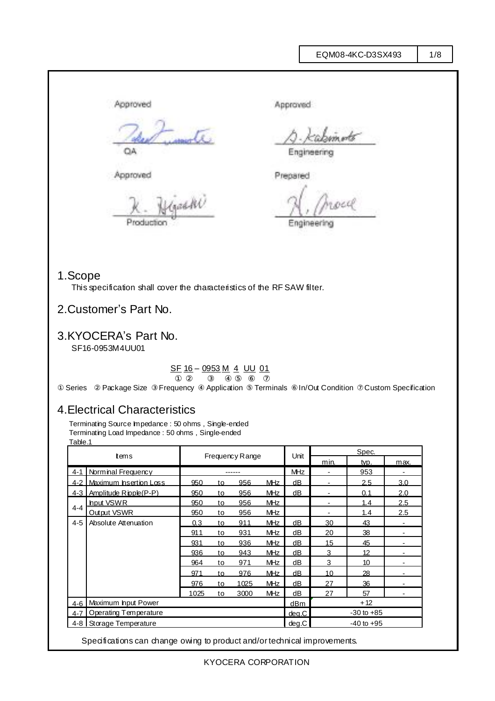Approved Approved QA Engineering Approved Prepared (gaddi) Production **Engineering** 

socié

### 1.Scope

This specification shall cover the characteristics of the RF SAW filter.

### 2.Customer's Part No.

## 3.KYOCERA's Part No.

SF16-0953M4UU01

#### SF 16 – 0953 M 4 UU 01

Series Package Size Frequency Application Terminals In/Out Condition Custom Specification

### 4.Electrical Characteristics

Terminating Source Impedance : 50 ohms, Single-ended Terminating Load Impedance : 50 ohms , Single-ended Table.1

|                                  | tems                  |                        |     |      | Unit            | Spec.          |                          |                   |     |
|----------------------------------|-----------------------|------------------------|-----|------|-----------------|----------------|--------------------------|-------------------|-----|
|                                  |                       | <b>Frequency Range</b> |     |      |                 | min.           | typ.                     | max.              |     |
| $4 - 1$                          | Norminal Frequency    |                        |     |      |                 | <b>MHz</b>     | $\overline{\phantom{a}}$ | 953               |     |
| $4 - 2$                          | Maximum hsertion Loss | 950                    | to  | 956  | <b>MHz</b>      | dВ             |                          | 2.5               | 3.0 |
| $4-3$                            | Amplitude Ripple(P-P) | 950                    | to  | 956  | <b>MHz</b>      | dB             |                          | 0.1               | 2.0 |
| $4 - 4$                          | hput VSWR             | 950                    | to  | 956  | <b>MHz</b>      |                | $\blacksquare$           | 1.4               | 2.5 |
|                                  | Output VSWR           | 950                    | to  | 956  | <b>MHz</b>      |                |                          | 1.4               | 2.5 |
| $4 - 5$                          | Absolute Attenuation  | 0.3                    | to  | 911  | <b>MHz</b>      | dВ             | 30                       | 43                |     |
|                                  |                       | 911                    | to  | 931  | <b>MHz</b>      | dВ             | 20                       | 38                |     |
|                                  |                       | 931                    | to  | 936  | <b>MHz</b>      | dB             | 15                       | 45                |     |
|                                  |                       | 936                    | to  | 943  | <b>MHz</b>      | dB             | 3                        | $12 \overline{ }$ |     |
|                                  |                       | 964                    | to  | 971  | <b>MHz</b>      | dB             | 3                        | 10                | ۰   |
|                                  |                       | 971                    | to. | 976  | M <sub>Hz</sub> | dB             | 10 <sup>1</sup>          | 28                |     |
|                                  |                       | 976                    | to  | 1025 | MHz             | dB             | 27                       | 36                |     |
|                                  |                       | 1025                   | to  | 3000 | <b>MHz</b>      | dB             | 27                       | 57                |     |
| 4-6   Maximum hput Power         |                       |                        |     |      | dBm             | $+12$          |                          |                   |     |
| Operating Temperature<br>$4 - 7$ |                       |                        |     |      | deg.C           | $-30$ to $+85$ |                          |                   |     |
| Storage Temperature<br>$4-8$ I   |                       |                        |     |      | deg.C           | $-40$ to $+95$ |                          |                   |     |

Specifications can change owing to product and/or technical improvements.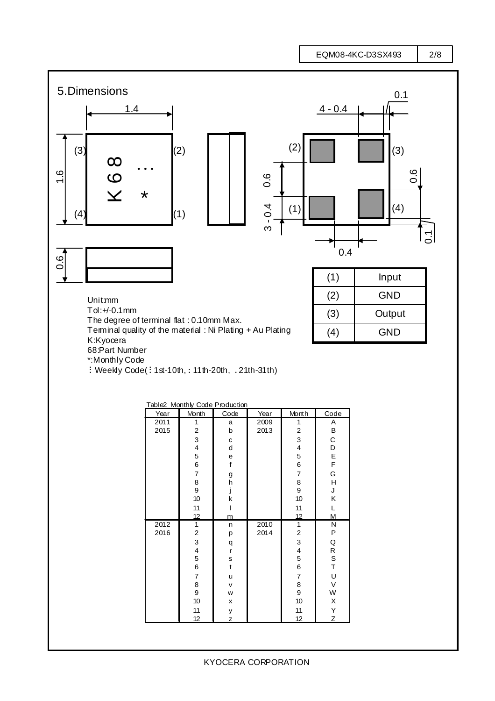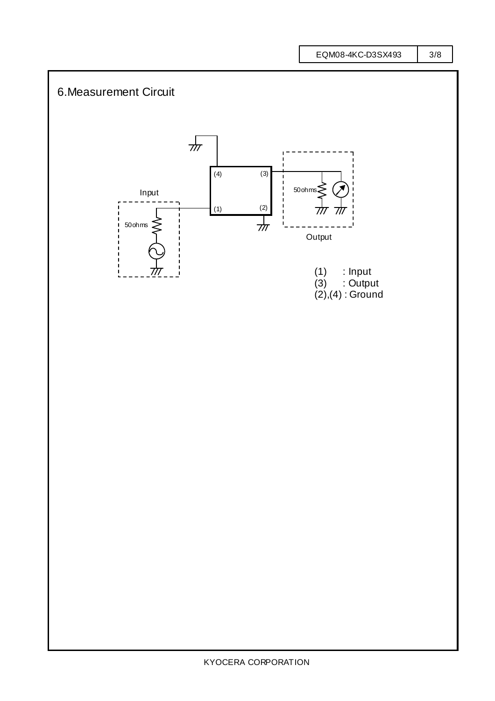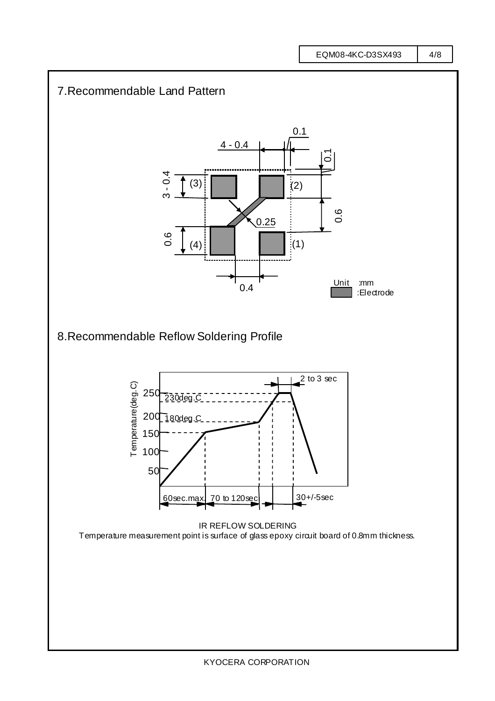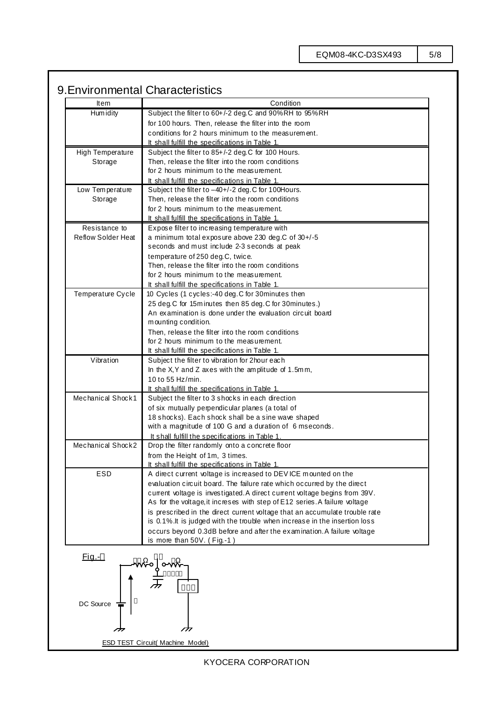# 9.Environmental Characteristics

| Item                      | Condition                                                                                         |  |  |  |  |  |
|---------------------------|---------------------------------------------------------------------------------------------------|--|--|--|--|--|
| Hum idity                 | Subject the filter to 60+/-2 deg.C and 90%RH to 95%RH                                             |  |  |  |  |  |
|                           | for 100 hours. Then, release the filter into the room                                             |  |  |  |  |  |
|                           | conditions for 2 hours minimum to the measurement.                                                |  |  |  |  |  |
|                           | It shall fulfill the specifications in Table 1.                                                   |  |  |  |  |  |
| <b>High Temperature</b>   | Subject the filter to 85+/-2 deg.C for 100 Hours.                                                 |  |  |  |  |  |
| Storage                   | Then, release the filter into the room conditions                                                 |  |  |  |  |  |
|                           | for 2 hours minimum to the measurement.                                                           |  |  |  |  |  |
|                           | It shall fulfill the specifications in Table 1.                                                   |  |  |  |  |  |
| Low Temperature           | Subject the filter to -40+/-2 deg. C for 100Hours.                                                |  |  |  |  |  |
| Storage                   | Then, release the filter into the room conditions                                                 |  |  |  |  |  |
|                           | for 2 hours minimum to the measurement.                                                           |  |  |  |  |  |
|                           | It shall fulfill the specifications in Table 1.                                                   |  |  |  |  |  |
| Resistance to             | Expose filter to increasing temperature with                                                      |  |  |  |  |  |
| <b>Reflow Solder Heat</b> | a minimum total exposure above 230 deg.C of $30+/5$                                               |  |  |  |  |  |
|                           | seconds and must include 2-3 seconds at peak                                                      |  |  |  |  |  |
|                           | temperature of 250 deg.C, twice.                                                                  |  |  |  |  |  |
|                           | Then, release the filter into the room conditions                                                 |  |  |  |  |  |
|                           | for 2 hours minimum to the measurement.                                                           |  |  |  |  |  |
|                           | It shall fulfill the specifications in Table 1.                                                   |  |  |  |  |  |
| Temperature Cycle         | 10 Cycles (1 cycles:-40 deg.C for 30 minutes then                                                 |  |  |  |  |  |
|                           | 25 deg. C for 15 minutes then 85 deg. C for 30 minutes.)                                          |  |  |  |  |  |
|                           | An examination is done under the evaluation circuit board                                         |  |  |  |  |  |
|                           | mounting condition.                                                                               |  |  |  |  |  |
|                           | Then, release the filter into the room conditions                                                 |  |  |  |  |  |
|                           | for 2 hours minimum to the measurement.                                                           |  |  |  |  |  |
|                           | It shall fulfill the specifications in Table 1.                                                   |  |  |  |  |  |
| Vibration                 | Subject the filter to vibration for 2 hour each                                                   |  |  |  |  |  |
|                           | In the X, Y and Z axes with the amplitude of $1.5$ mm,                                            |  |  |  |  |  |
|                           | 10 to 55 Hz/min.                                                                                  |  |  |  |  |  |
|                           | It shall fulfill the specifications in Table 1.                                                   |  |  |  |  |  |
| Mechanical Shock1         | Subject the filter to 3 shocks in each direction                                                  |  |  |  |  |  |
|                           | of six mutually perpendicular planes (a total of                                                  |  |  |  |  |  |
|                           | 18 shocks). Each shock shall be a sine wave shaped                                                |  |  |  |  |  |
|                           | with a magnitude of 100 G and a duration of 6 mseconds.                                           |  |  |  |  |  |
|                           |                                                                                                   |  |  |  |  |  |
| Mechanical Shock2         | It shall fulfill the specifications in Table 1.<br>Drop the filter randomly onto a concrete floor |  |  |  |  |  |
|                           |                                                                                                   |  |  |  |  |  |
|                           | from the Height of 1m, 3 times.                                                                   |  |  |  |  |  |
|                           | <u>It shall fulfill the specifications in Table 1.</u>                                            |  |  |  |  |  |
| ESD                       | A direct current voltage is increased to DEVICE mounted on the                                    |  |  |  |  |  |
|                           | evaluation circuit board. The failure rate which occurred by the direct                           |  |  |  |  |  |
|                           | current voltage is investigated. A direct current voltage begins from 39V.                        |  |  |  |  |  |
|                           | As for the voltage, it increses with step of E12 series. A failure voltage                        |  |  |  |  |  |
|                           | is prescribed in the direct current voltage that an accumulate trouble rate                       |  |  |  |  |  |
|                           | is 0.1%. It is judged with the trouble when increase in the insertion loss                        |  |  |  |  |  |
|                           | occurs beyond 0.3dB before and after the examination. A failure voltage                           |  |  |  |  |  |
|                           | is more than 50V. (Fig.-1)                                                                        |  |  |  |  |  |
|                           |                                                                                                   |  |  |  |  |  |
| <u>Fig.-</u>              |                                                                                                   |  |  |  |  |  |
|                           |                                                                                                   |  |  |  |  |  |
|                           |                                                                                                   |  |  |  |  |  |
|                           |                                                                                                   |  |  |  |  |  |
| DC Source                 |                                                                                                   |  |  |  |  |  |
|                           |                                                                                                   |  |  |  |  |  |
|                           |                                                                                                   |  |  |  |  |  |
| 777                       |                                                                                                   |  |  |  |  |  |
|                           |                                                                                                   |  |  |  |  |  |
|                           | <b>ESD TEST Circuit( Machine Model)</b>                                                           |  |  |  |  |  |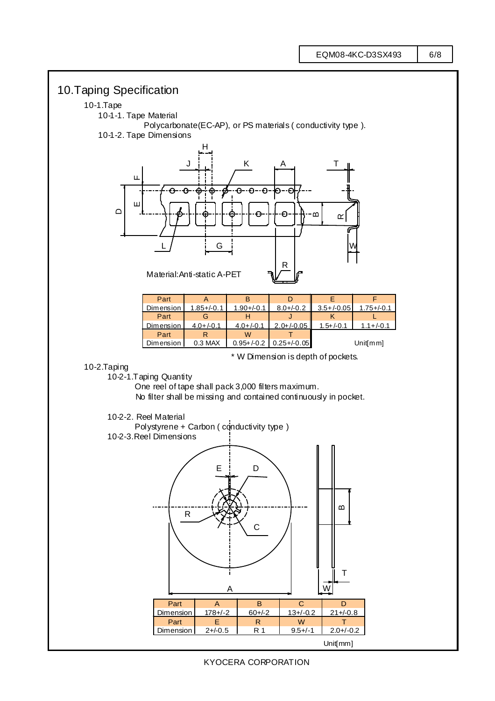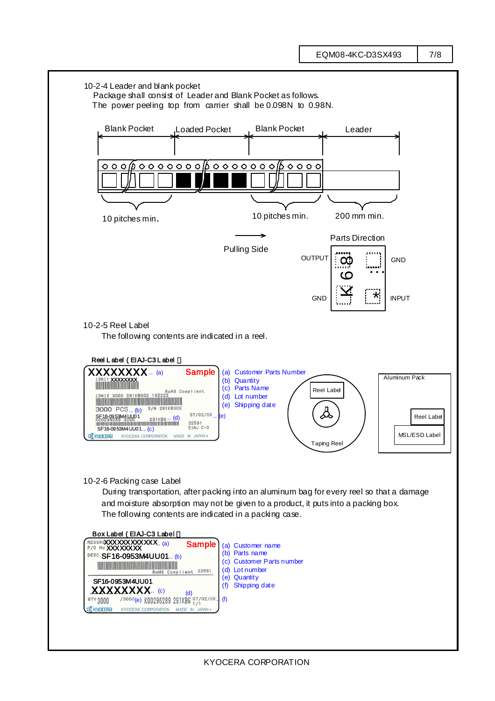